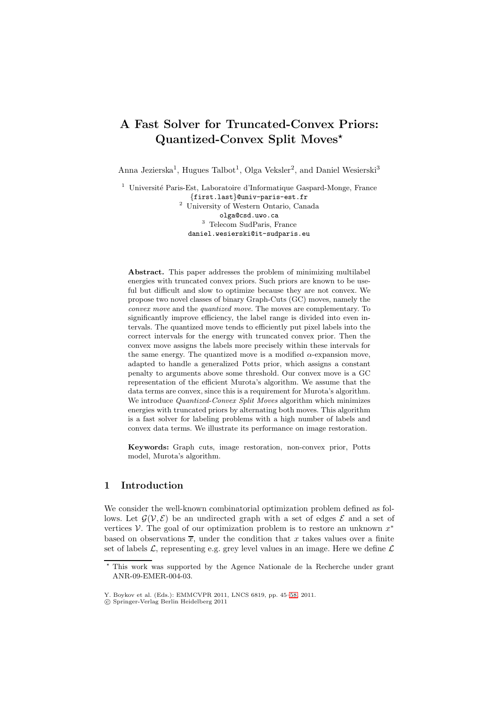# **A Fast Solver for Truncated-Convex Priors: Quantized-Convex Split Moves***-*

Anna Jezierska<sup>1</sup>, Hugues Talbot<sup>1</sup>, Olga Veksler<sup>2</sup>, and Daniel Wesierski<sup>3</sup>

 $1$  Université Paris-Est, Laboratoire d'Informatique Gaspard-Monge, France *{*first.last*}*@univ-paris-est.fr <sup>2</sup> University of Western Ontario, Canada olga@csd.uwo.ca <sup>3</sup> Telecom SudParis, France daniel.wesierski@it-sudparis.eu

**Abstract.** This paper addresses the problem of minimizing multilabel energies with truncated convex priors. Such priors are known to be useful but difficult and slow to optimize because they are not convex. We propose two novel classes of binary Graph-Cuts (GC) moves, namely the *convex move* and the *quantized move*. The moves are complementary. To significantly improve efficiency, the label range is divided into even intervals. The quantized move tends to efficiently put pixel labels into the correct intervals for the energy with truncated convex prior. Then the convex move assigns the labels more precisely within these intervals for the same energy. The quantized move is a modified  $\alpha$ -expansion move, adapted to handle a generalized Potts prior, which assigns a constant penalty to arguments above some threshold. Our convex move is a GC representation of the efficient Murota's algorithm. We assume that the data terms are convex, since this is a requirement for Murota's algorithm. We introduce *Quantized-Convex Split Moves* algorithm which minimizes energies with truncated priors by alternating both moves. This algorithm is a fast solver for labeling problems with a high number of labels and convex data terms. We illustrate its performance on image restoration.

**Keywords:** Graph cuts, image restoration, non-convex prior, Potts model, Murota's algorithm.

# **1 Introduction**

We consider the well-known combinatorial optimization problem defined as follows. Let  $\mathcal{G}(\mathcal{V}, \mathcal{E})$  be an undirected graph with a set of edges  $\mathcal{E}$  and a set of vertices V. The goal of our optimization problem is to restore an unknown  $x^*$ based on observations  $\overline{x}$ , under the condition that x takes values over a finite set of labels  $\mathcal{L}$ , representing e.g. grey level values in an image. Here we define  $\mathcal{L}$ 

 $\star$  This work was supported by the Agence Nationale de la Recherche under grant ANR-09-EMER-004-03.

Y. Boykov et al. (Eds.): EMMCVPR 2011, LNCS 6819, pp. 45[–58,](#page-12-0) 2011.

c Springer-Verlag Berlin Heidelberg 2011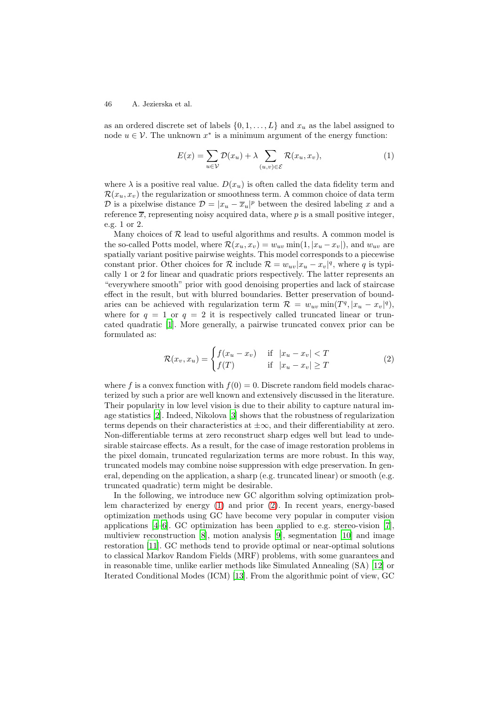as an ordered discrete set of labels  $\{0, 1, \ldots, L\}$  and  $x_u$  as the label assigned to node  $u \in V$ . The unknown  $x^*$  is a minimum argument of the energy function:

<span id="page-1-0"></span>
$$
E(x) = \sum_{u \in \mathcal{V}} \mathcal{D}(x_u) + \lambda \sum_{(u,v) \in \mathcal{E}} \mathcal{R}(x_u, x_v), \tag{1}
$$

where  $\lambda$  is a positive real value.  $D(x_u)$  is often called the data fidelity term and  $\mathcal{R}(x_u, x_v)$  the regularization or smoothness term. A common choice of data term  $\mathcal{D}$  is a pixelwise distance  $\mathcal{D} = |x_u - \overline{x}_u|^p$  between the desired labeling x and a reference  $\overline{x}$ , representing noisy acquired data, where p is a small positive integer, e.g. 1 or 2.

Many choices of  $R$  lead to useful algorithms and results. A common model is the so-called Potts model, where  $\mathcal{R}(x_u, x_v) = w_{uv} \min(1, |x_u - x_v|)$ , and  $w_{uv}$  are spatially variant positive pairwise weights. This model corresponds to a piecewise constant prior. Other choices for  $\mathcal{R}$  include  $\mathcal{R} = w_{uv}|x_u - x_v|^q$ , where q is typically 1 or 2 for linear and quadratic priors respectively. The latter represents an "everywhere smooth" prior with good denoising properties and lack of staircase effect in the result, but with blurred boundaries. Better preservation of boundaries can be achieved with regularization term  $\mathcal{R} = w_{uv} \min(T^q, |x_u - x_v|^q)$ , where for  $q = 1$  or  $q = 2$  it is respectively called truncated linear or truncated quadratic [\[1](#page-12-1)]. More generally, a pairwise truncated convex prior can be formulated as:

<span id="page-1-1"></span>
$$
\mathcal{R}(x_v, x_u) = \begin{cases} f(x_u - x_v) & \text{if } |x_u - x_v| < T \\ f(T) & \text{if } |x_u - x_v| \ge T \end{cases}
$$
\n(2)

where f is a convex function with  $f(0) = 0$ . Discrete random field models characterized by such a prior are well known and extensively discussed in the literature. Their popularity in low level vision is due to their ability to capture natural image statistics [\[2](#page-12-2)]. Indeed, Nikolova [\[3\]](#page-12-3) shows that the robustness of regularization terms depends on their characteristics at  $\pm \infty$ , and their differentiability at zero. Non-differentiable terms at zero reconstruct sharp edges well but lead to undesirable staircase effects. As a result, for the case of image restoration problems in the pixel domain, truncated regularization terms are more robust. In this way, truncated models may combine noise suppression with edge preservation. In general, depending on the application, a sharp (e.g. truncated linear) or smooth (e.g. truncated quadratic) term might be desirable.

In the following, we introduce new GC algorithm solving optimization problem characterized by energy [\(1\)](#page-1-0) and prior [\(2\)](#page-1-1). In recent years, energy-based optimization methods using GC have become very popular in computer vision applications [\[4–](#page-12-4)[6\]](#page-12-5). GC optimization has been applied to e.g. stereo-vision [\[7\]](#page-12-6), multiview reconstruction [\[8\]](#page-12-7), motion analysis [\[9](#page-12-8)], segmentation [\[10](#page-12-9)] and image restoration [\[11\]](#page-12-10). GC methods tend to provide optimal or near-optimal solutions to classical Markov Random Fields (MRF) problems, with some guarantees and in reasonable time, unlike earlier methods like Simulated Annealing (SA) [\[12\]](#page-12-11) or Iterated Conditional Modes (ICM) [\[13](#page-12-12)]. From the algorithmic point of view, GC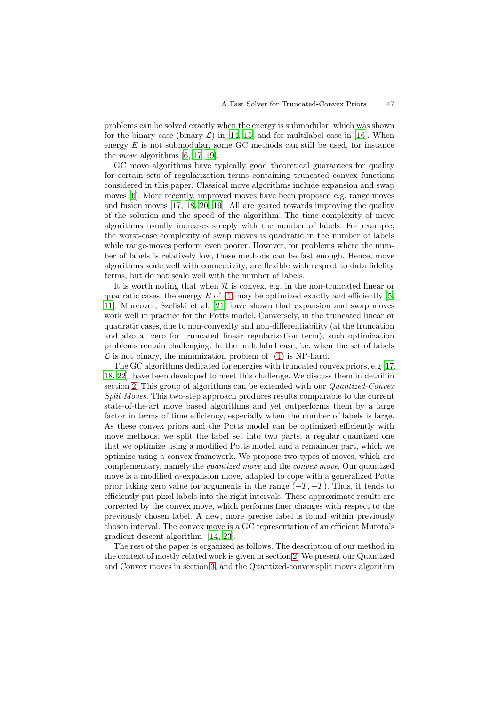problems can be solved exactly when the energy is submodular, which was shown for the binary case (binary  $\mathcal{L}$ ) in [\[14,](#page-12-13) [15\]](#page-12-14) and for multilabel case in [\[16](#page-13-0)]. When energy  $E$  is not submodular, some GC methods can still be used, for instance the *move* algorithms [\[6](#page-12-5), [17](#page-13-1)[–19](#page-13-2)].

GC move algorithms have typically good theoretical guarantees for quality for certain sets of regularization terms containing truncated convex functions considered in this paper. Classical move algorithms include expansion and swap moves [\[6\]](#page-12-5). More recently, improved moves have been proposed e.g. range moves and fusion moves [\[17,](#page-13-1) [18,](#page-13-3) [20](#page-13-4), [19](#page-13-2)]. All are geared towards improving the quality of the solution and the speed of the algorithm. The time complexity of move algorithms usually increases steeply with the number of labels. For example, the worst-case complexity of swap moves is quadratic in the number of labels while range-moves perform even poorer. However, for problems where the number of labels is relatively low, these methods can be fast enough. Hence, move algorithms scale well with connectivity, are flexible with respect to data fidelity terms, but do not scale well with the number of labels.

It is worth noting that when  $R$  is convex, e.g. in the non-truncated linear or quadratic cases, the energy  $E$  of [\(1\)](#page-1-0) may be optimized exactly and efficiently [\[5](#page-12-15), [11](#page-12-10)]. Moreover, Szeliski et al. [\[21](#page-13-5)] have shown that expansion and swap moves work well in practice for the Potts model. Conversely, in the truncated linear or quadratic cases, due to non-convexity and non-differentiability (at the truncation and also at zero for truncated linear regularization term), such optimization problems remain challenging. In the multilabel case, i.e. when the set of labels  $\mathcal L$  is not binary, the minimization problem of [\(1\)](#page-1-0) is NP-hard.

The GC algorithms dedicated for energies with truncated convex priors, e.g [\[17,](#page-13-1) [18](#page-13-3), [22\]](#page-13-6), have been developed to meet this challenge. We discuss them in detail in section [2.](#page-3-0) This group of algorithms can be extended with our *Quantized-Convex Split Moves*. This two-step approach produces results comparable to the current state-of-the-art move based algorithms and yet outperforms them by a large factor in terms of time efficiency, especially when the number of labels is large. As these convex priors and the Potts model can be optimized efficiently with move methods, we split the label set into two parts, a regular quantized one that we optimize using a modified Potts model, and a remainder part, which we optimize using a convex framework. We propose two types of moves, which are complementary, namely the *quantized move* and the *convex move*. Our quantized move is a modified  $\alpha$ -expansion move, adapted to cope with a generalized Potts prior taking zero value for arguments in the range  $(-T, +T)$ . Thus, it tends to efficiently put pixel labels into the right intervals. These approximate results are corrected by the convex move, which performs finer changes with respect to the previously chosen label. A new, more precise label is found within previously chosen interval. The convex move is a GC representation of an efficient Murota's gradient descent algorithm [\[14](#page-12-13), [23](#page-13-7)].

The rest of the paper is organized as follows. The description of our method in the context of mostly related work is given in section [2.](#page-3-0) We present our Quantized and Convex moves in section [3,](#page-4-0) and the Quantized-convex split moves algorithm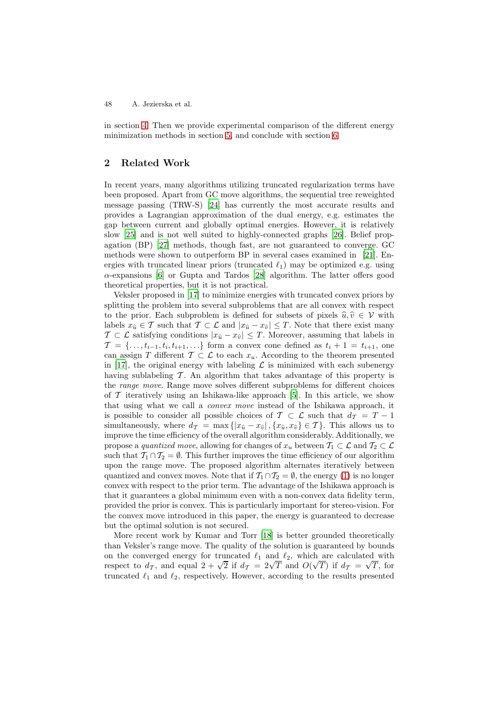in section [4.](#page-7-0) Then we provide experimental comparison of the different energy minimization methods in section [5,](#page-9-0) and conclude with section [6.](#page-11-0)

# <span id="page-3-0"></span>**2 Related Work**

In recent years, many algorithms utilizing truncated regularization terms have been proposed. Apart from GC move algorithms, the sequential tree reweighted message passing (TRW-S) [\[24\]](#page-13-8) has currently the most accurate results and provides a Lagrangian approximation of the dual energy, e.g. estimates the gap between current and globally optimal energies. However, it is relatively slow [\[25](#page-13-9)] and is not well suited to highly-connected graphs [\[26\]](#page-13-10). Belief propagation (BP) [\[27\]](#page-13-11) methods, though fast, are not guaranteed to converge. GC methods were shown to outperform BP in several cases examined in [\[21](#page-13-5)]. Energies with truncated linear priors (truncated  $\ell_1$ ) may be optimized e.g. using  $\alpha$ -expansions [\[6](#page-12-5)] or Gupta and Tardos [\[28](#page-13-12)] algorithm. The latter offers good theoretical properties, but it is not practical.

Veksler proposed in [\[17\]](#page-13-1) to minimize energies with truncated convex priors by splitting the problem into several subproblems that are all convex with respect to the prior. Each subproblem is defined for subsets of pixels  $\hat{u}, \hat{v} \in \mathcal{V}$  with labels  $x_{\hat{u}} \in \mathcal{T}$  such that  $\mathcal{T} \subset \mathcal{L}$  and  $|x_{\hat{u}} - x_{\hat{v}}| \leq T$ . Note that there exist many  $T \subset \mathcal{L}$  satisfying conditions  $|x_{\hat{u}} - x_{\hat{v}}| \leq T$ . Moreover, assuming that labels in  $\mathcal{T} = \{\ldots, t_{i-1}, t_i, t_{i+1}, \ldots\}$  form a convex cone defined as  $t_i + 1 = t_{i+1}$ , one can assign T different  $\mathcal{T} \subset \mathcal{L}$  to each  $x_u$ . According to the theorem presented in [\[17\]](#page-13-1), the original energy with labeling  $\mathcal L$  is minimized with each subenergy having sublabeling  $\mathcal T$ . An algorithm that takes advantage of this property is the *range move*. Range move solves different subproblems for different choices of  $\mathcal T$  iteratively using an Ishikawa-like approach [\[5](#page-12-15)]. In this article, we show that using what we call a *convex move* instead of the Ishikawa approach, it is possible to consider all possible choices of  $T \subset \mathcal{L}$  such that  $d_T = T - 1$ simultaneously, where  $d_{\mathcal{T}} = \max\{|x_{\hat{u}} - x_{\hat{v}}|, \{x_{\hat{u}}, x_{\hat{v}}\} \in \mathcal{T}\}\.$  This allows us to improve the time efficiency of the overall algorithm considerably. Additionally, we propose a *quantized move*, allowing for changes of  $x_u$  between  $\mathcal{T}_1 \subset \mathcal{L}$  and  $\mathcal{T}_2 \subset \mathcal{L}$ such that  $\mathcal{T}_1 \cap \mathcal{T}_2 = \emptyset$ . This further improves the time efficiency of our algorithm upon the range move. The proposed algorithm alternates iteratively between quantized and convex moves. Note that if  $\mathcal{T}_1 \cap \mathcal{T}_2 = \emptyset$ , the energy [\(1\)](#page-1-0) is no longer convex with respect to the prior term. The advantage of the Ishikawa approach is that it guarantees a global minimum even with a non-convex data fidelity term, provided the prior is convex. This is particularly important for stereo-vision. For the convex move introduced in this paper, the energy is guaranteed to decrease but the optimal solution is not secured.

More recent work by Kumar and Torr [\[18\]](#page-13-3) is better grounded theoretically than Veksler's range move. The quality of the solution is guaranteed by bounds on the converged energy for truncated  $\ell_1$  and  $\ell_2$ , which are calculated with on the converged energy for truncated  $\ell_1$  and  $\ell_2$ , which are calculated with respect to  $d_{\mathcal{T}}$ , and equal  $2 + \sqrt{2}$  if  $d_{\mathcal{T}} = 2\sqrt{T}$  and  $O(\sqrt{T})$  if  $d_{\mathcal{T}} = \sqrt{T}$ , for truncated  $\ell_1$  and  $\ell_2$ , respectively. However, according to the results presented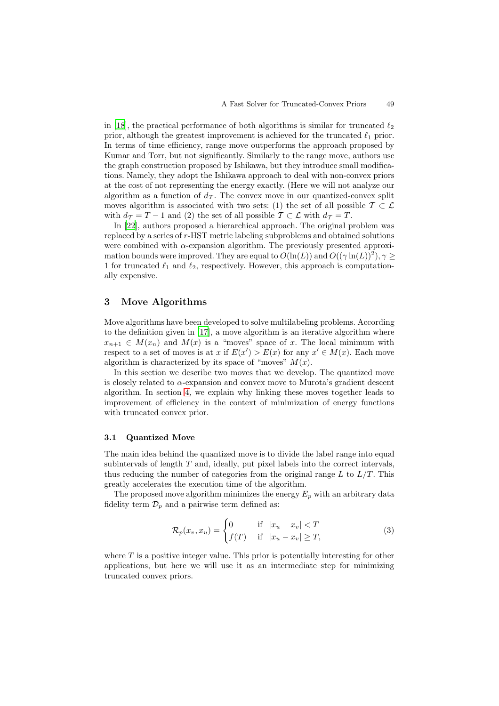in [\[18\]](#page-13-3), the practical performance of both algorithms is similar for truncated  $\ell_2$ prior, although the greatest improvement is achieved for the truncated  $\ell_1$  prior. In terms of time efficiency, range move outperforms the approach proposed by Kumar and Torr, but not significantly. Similarly to the range move, authors use the graph construction proposed by Ishikawa, but they introduce small modifications. Namely, they adopt the Ishikawa approach to deal with non-convex priors at the cost of not representing the energy exactly. (Here we will not analyze our algorithm as a function of  $d_{\mathcal{T}}$ . The convex move in our quantized-convex split moves algorithm is associated with two sets: (1) the set of all possible  $\mathcal{T} \subset \mathcal{L}$ with  $d_{\mathcal{T}} = T - 1$  and (2) the set of all possible  $\mathcal{T} \subset \mathcal{L}$  with  $d_{\mathcal{T}} = T$ .

In [\[22](#page-13-6)], authors proposed a hierarchical approach. The original problem was replaced by a series of r-HST metric labeling subproblems and obtained solutions were combined with  $\alpha$ -expansion algorithm. The previously presented approximation bounds were improved. They are equal to  $O(\ln(L))$  and  $O((\gamma \ln(L))^2)$ ,  $\gamma \geq$ 1 for truncated  $\ell_1$  and  $\ell_2$ , respectively. However, this approach is computationally expensive.

# <span id="page-4-0"></span>**3 Move Algorithms**

Move algorithms have been developed to solve multilabeling problems. According to the definition given in [\[17](#page-13-1)], a move algorithm is an iterative algorithm where  $x_{n+1} \in M(x_n)$  and  $M(x)$  is a "moves" space of x. The local minimum with respect to a set of moves is at x if  $E(x') > E(x)$  for any  $x' \in M(x)$ . Each move algorithm is characterized by its space of "moves"  $M(x)$ .

In this section we describe two moves that we develop. The quantized move is closely related to  $\alpha$ -expansion and convex move to Murota's gradient descent algorithm. In section [4,](#page-7-0) we explain why linking these moves together leads to improvement of efficiency in the context of minimization of energy functions with truncated convex prior.

#### <span id="page-4-2"></span>**3.1 Quantized Move**

The main idea behind the quantized move is to divide the label range into equal subintervals of length  $T$  and, ideally, put pixel labels into the correct intervals, thus reducing the number of categories from the original range  $L$  to  $L/T$ . This greatly accelerates the execution time of the algorithm.

The proposed move algorithm minimizes the energy  $E_p$  with an arbitrary data fidelity term  $\mathcal{D}_p$  and a pairwise term defined as:

<span id="page-4-1"></span>
$$
\mathcal{R}_p(x_v, x_u) = \begin{cases} 0 & \text{if } |x_u - x_v| < T \\ f(T) & \text{if } |x_u - x_v| \ge T, \end{cases} \tag{3}
$$

where  $T$  is a positive integer value. This prior is potentially interesting for other applications, but here we will use it as an intermediate step for minimizing truncated convex priors.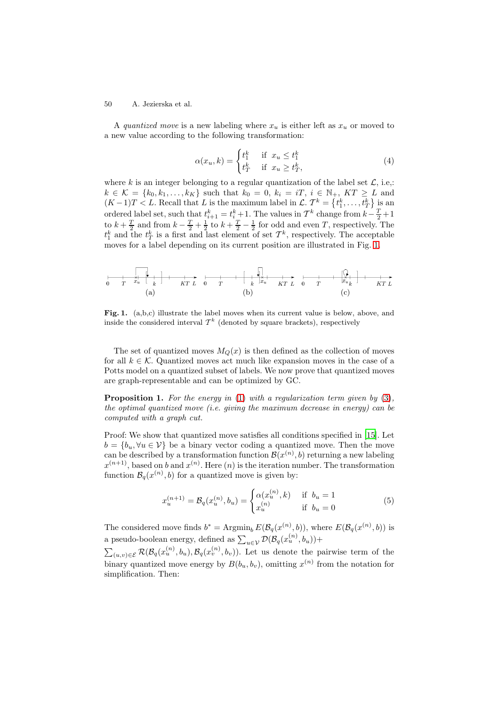A *quantized move* is a new labeling where  $x_u$  is either left as  $x_u$  or moved to a new value according to the following transformation:

$$
\alpha(x_u, k) = \begin{cases} t_1^k & \text{if } x_u \le t_1^k \\ t_T^k & \text{if } x_u \ge t_T^k, \end{cases}
$$
(4)

where k is an integer belonging to a regular quantization of the label set  $\mathcal{L}$ , i.e.;  $k \in \mathcal{K} = \{k_0, k_1, \ldots, k_K\}$  such that  $k_0 = 0, k_i = iT, i \in \mathbb{N}_+, KT \geq L$  and  $(K-1)T < L$ . Recall that L is the maximum label in  $\mathcal{L}$ .  $\mathcal{T}^k = \{t_1^k, \ldots, t_T^k\}$  is an ordered label set, such that  $t_{k+1}^k = t_{k-1}^k$ . The values in  $\mathcal{T}^k$  change from  $k-\frac{T}{2}+1$ to  $k + \frac{T}{2}$  and from  $k - \frac{T}{2} + \frac{1}{2}$  to  $k + \frac{T}{2} - \frac{1}{2}$  for odd and even T, respectively. The  $t_1^k$  and the  $t_T^k$  is a first and last element of set  $T^k$ , respectively. The acceptable moves for a label depending on its current position are illustrated in Fig. [1.](#page-5-0)

(a) (b) (c)

<span id="page-5-0"></span>Fig. 1. (a,b,c) illustrate the label moves when its current value is below, above, and inside the considered interval  $\mathcal{T}^k$  (denoted by square brackets), respectively

The set of quantized moves  $M_Q(x)$  is then defined as the collection of moves for all  $k \in \mathcal{K}$ . Quantized moves act much like expansion moves in the case of a Potts model on a quantized subset of labels. We now prove that quantized moves are graph-representable and can be optimized by GC.

**Proposition 1.** *For the energy in* [\(1\)](#page-1-0) *with a regularization term given by* [\(3\)](#page-4-1)*, the optimal quantized move (i.e. giving the maximum decrease in energy) can be computed with a graph cut.*

Proof: We show that quantized move satisfies all conditions specified in [\[15](#page-12-14)]. Let  $b = \{b_u, \forall u \in \mathcal{V}\}\$ be a binary vector coding a quantized move. Then the move can be described by a transformation function  $\mathcal{B}(x^{(n)},b)$  returning a new labeling  $x^{(n+1)}$ , based on b and  $x^{(n)}$ . Here  $(n)$  is the iteration number. The transformation function  $\mathcal{B}_{q}(x^{(n)}, b)$  for a quantized move is given by:

$$
x_u^{(n+1)} = \mathcal{B}_q(x_u^{(n)}, b_u) = \begin{cases} \alpha(x_u^{(n)}, k) & \text{if } b_u = 1\\ x_u^{(n)} & \text{if } b_u = 0 \end{cases}
$$
(5)

The considered move finds  $b^* = \text{Argmin}_b E(\mathcal{B}_q(x^{(n)}, b))$ , where  $E(\mathcal{B}_q(x^{(n)}, b))$  is a pseudo-boolean energy, defined as  $\sum_{u \in \mathcal{V}} \mathcal{D}(\mathcal{B}_q(x_u^{(n)}, b_u)) +$ 

 $\sum_{(u,v)\in\mathcal{E}}\mathcal{R}(\mathcal{B}_q(x_u^{(n)},b_u),\mathcal{B}_q(x_v^{(n)},b_v)).$  Let us denote the pairwise term of the binary quantized move energy by  $B(b_u, b_v)$ , omitting  $x^{(n)}$  from the notation for simplification. Then: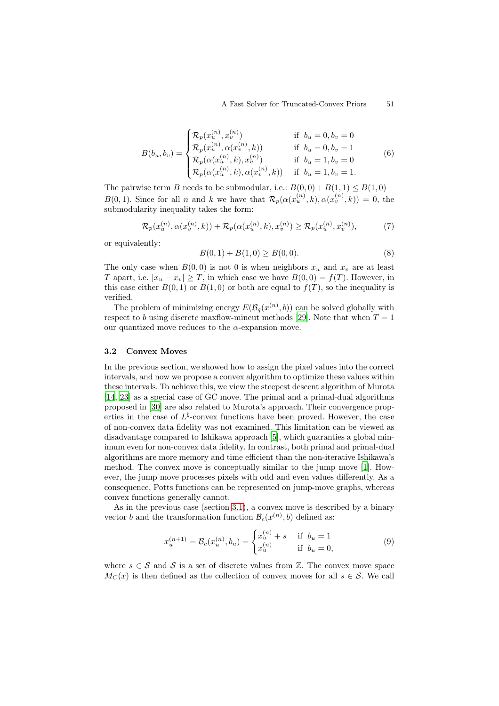$$
B(b_u, b_v) = \begin{cases} \mathcal{R}_p(x_u^{(n)}, x_v^{(n)}) & \text{if } b_u = 0, b_v = 0\\ \mathcal{R}_p(x_u^{(n)}, \alpha(x_v^{(n)}, k)) & \text{if } b_u = 0, b_v = 1\\ \mathcal{R}_p(\alpha(x_u^{(n)}, k), x_v^{(n)}) & \text{if } b_u = 1, b_v = 0\\ \mathcal{R}_p(\alpha(x_u^{(n)}, k), \alpha(x_v^{(n)}, k)) & \text{if } b_u = 1, b_v = 1. \end{cases}
$$
(6)

The pairwise term B needs to be submodular, i.e.:  $B(0,0) + B(1,1) \leq B(1,0) +$  $B(0, 1)$ . Since for all n and k we have that  $\mathcal{R}_p(\alpha(x_u^{(n)}, k), \alpha(x_v^{(n)}, k)) = 0$ , the submodularity inequality takes the form:

$$
\mathcal{R}_p(x_u^{(n)}, \alpha(x_v^{(n)}, k)) + \mathcal{R}_p(\alpha(x_u^{(n)}, k), x_v^{(n)}) \ge \mathcal{R}_p(x_u^{(n)}, x_v^{(n)}),
$$
(7)

or equivalently:

$$
B(0,1) + B(1,0) \ge B(0,0). \tag{8}
$$

The only case when  $B(0,0)$  is not 0 is when neighbors  $x_u$  and  $x_v$  are at least T apart, i.e.  $|x_u - x_v| \geq T$ , in which case we have  $B(0,0) = f(T)$ . However, in this case either  $B(0, 1)$  or  $B(1, 0)$  or both are equal to  $f(T)$ , so the inequality is verified.

The problem of minimizing energy  $E(\mathcal{B}_q(x^{(n)}, b))$  can be solved globally with respect to b using discrete maxflow-mincut methods [\[29](#page-13-13)]. Note that when  $T = 1$ our quantized move reduces to the  $\alpha$ -expansion move.

#### **3.2 Convex Moves**

In the previous section, we showed how to assign the pixel values into the correct intervals, and now we propose a convex algorithm to optimize these values within these intervals. To achieve this, we view the steepest descent algorithm of Murota [\[14](#page-12-13), [23](#page-13-7)] as a special case of GC move. The primal and a primal-dual algorithms proposed in [\[30\]](#page-13-14) are also related to Murota's approach. Their convergence properties in the case of  $L^{\natural}$ -convex functions have been proved. However, the case of non-convex data fidelity was not examined. This limitation can be viewed as disadvantage compared to Ishikawa approach [\[5\]](#page-12-15), which guaranties a global minimum even for non-convex data fidelity. In contrast, both primal and primal-dual algorithms are more memory and time efficient than the non-iterative Ishikawa's method. The convex move is conceptually similar to the jump move [\[1](#page-12-1)]. However, the jump move processes pixels with odd and even values differently. As a consequence, Potts functions can be represented on jump-move graphs, whereas convex functions generally cannot.

As in the previous case (section [3.1\)](#page-4-2), a convex move is described by a binary vector b and the transformation function  $\mathcal{B}_c(x^{(n)}, b)$  defined as:

$$
x_u^{(n+1)} = \mathcal{B}_c(x_u^{(n)}, b_u) = \begin{cases} x_u^{(n)} + s & \text{if } b_u = 1\\ x_u^{(n)} & \text{if } b_u = 0, \end{cases}
$$
 (9)

where  $s \in \mathcal{S}$  and  $\mathcal{S}$  is a set of discrete values from  $\mathbb{Z}$ . The convex move space  $M_C(x)$  is then defined as the collection of convex moves for all  $s \in \mathcal{S}$ . We call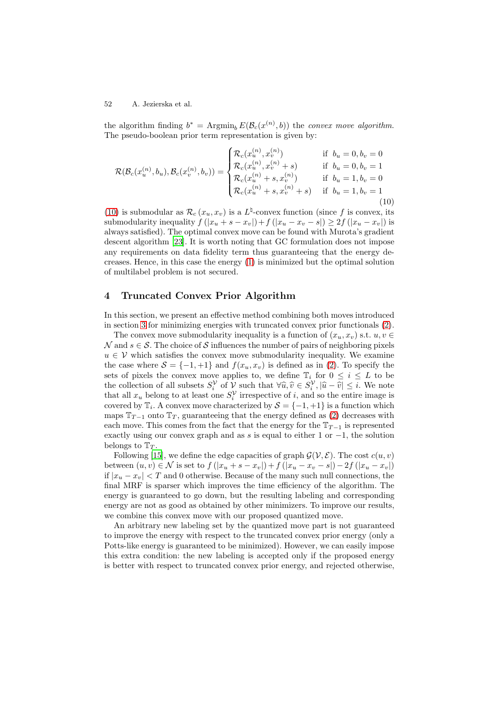the algorithm finding  $b^* = \text{Argmin}_b E(\mathcal{B}_c(x^{(n)}, b))$  the *convex move algorithm*. The pseudo-boolean prior term representation is given by:

<span id="page-7-1"></span>
$$
\mathcal{R}(\mathcal{B}_c(x_u^{(n)}, b_u), \mathcal{B}_c(x_v^{(n)}, b_v)) = \begin{cases} \mathcal{R}_c(x_u^{(n)}, x_v^{(n)}) & \text{if } b_u = 0, b_v = 0\\ \mathcal{R}_c(x_u^{(n)}, x_v^{(n)} + s) & \text{if } b_u = 0, b_v = 1\\ \mathcal{R}_c(x_u^{(n)} + s, x_v^{(n)}) & \text{if } b_u = 1, b_v = 0\\ \mathcal{R}_c(x_u^{(n)} + s, x_v^{(n)} + s) & \text{if } b_u = 1, b_v = 1\\ \end{cases}
$$
\n(10)

[\(10\)](#page-7-1) is submodular as  $\mathcal{R}_c(x_u, x_v)$  is a  $L^{\natural}$ -convex function (since f is convex, its submodularity inequality  $f(|x_u + s - x_v|) + f(|x_u - x_v - s|) \geq 2f(|x_u - x_v|)$  is always satisfied). The optimal convex move can be found with Murota's gradient descent algorithm [\[23\]](#page-13-7). It is worth noting that GC formulation does not impose any requirements on data fidelity term thus guaranteeing that the energy decreases. Hence, in this case the energy [\(1\)](#page-1-0) is minimized but the optimal solution of multilabel problem is not secured.

# <span id="page-7-0"></span>**4 Truncated Convex Prior Algorithm**

In this section, we present an effective method combining both moves introduced in section [3](#page-4-0) for minimizing energies with truncated convex prior functionals [\(2\)](#page-1-1).

The convex move submodularity inequality is a function of  $(x_u, x_v)$  s.t.  $u, v \in$ N and  $s \in \mathcal{S}$ . The choice of S influences the number of pairs of neighboring pixels  $u \in V$  which satisfies the convex move submodularity inequality. We examine the case where  $S = \{-1, +1\}$  and  $f(x_u, x_v)$  is defined as in [\(2\)](#page-1-1). To specify the sets of pixels the convex move applies to, we define  $\mathbb{T}_i$  for  $0 \leq i \leq L$  to be the collection of all subsets  $S_i^{\mathcal{V}}$  of  $\mathcal{V}$  such that  $\forall \hat{u}, \hat{v} \in S_i^{\mathcal{V}}, |\hat{u} - \hat{v}| \leq i$ . We note that all  $x_u$  belong to at least one  $S_i^{\mathcal{V}}$  irrespective of *i*, and so the entire image is covered by  $\mathbb{T}_i$ . A convex move characterized by  $S = \{-1, +1\}$  is a function which maps  $\mathbb{T}_{T-1}$  onto  $\mathbb{T}_T$ , guaranteeing that the energy defined as [\(2\)](#page-1-1) decreases with each move. This comes from the fact that the energy for the  $T_{T-1}$  is represented exactly using our convex graph and as s is equal to either 1 or  $-1$ , the solution belongs to  $\mathbb{T}_T$ .

Following [\[15\]](#page-12-14), we define the edge capacities of graph  $\mathcal{G}(\mathcal{V}, \mathcal{E})$ . The cost  $c(u, v)$ between  $(u, v) \in \mathcal{N}$  is set to  $f(|x_u + s - x_v|) + f(|x_u - x_v - s|) - 2f(|x_u - x_v|)$ if  $|x_u - x_v| < T$  and 0 otherwise. Because of the many such null connections, the final MRF is sparser which improves the time efficiency of the algorithm. The energy is guaranteed to go down, but the resulting labeling and corresponding energy are not as good as obtained by other minimizers. To improve our results, we combine this convex move with our proposed quantized move.

An arbitrary new labeling set by the quantized move part is not guaranteed to improve the energy with respect to the truncated convex prior energy (only a Potts-like energy is guaranteed to be minimized). However, we can easily impose this extra condition: the new labeling is accepted only if the proposed energy is better with respect to truncated convex prior energy, and rejected otherwise,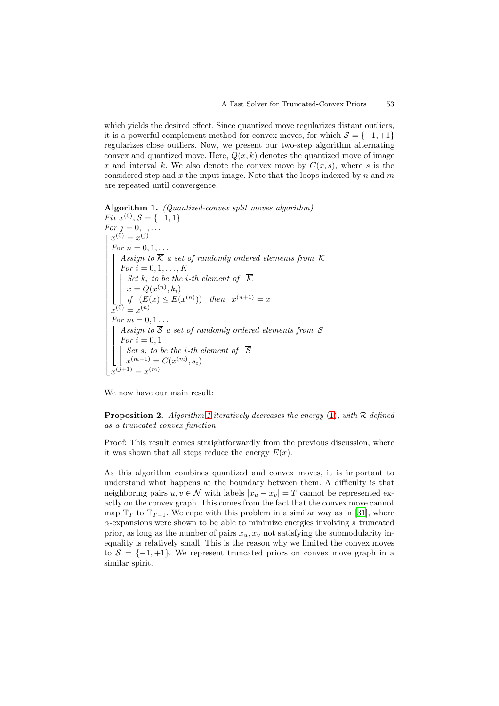which yields the desired effect. Since quantized move regularizes distant outliers, it is a powerful complement method for convex moves, for which  $S = \{-1, +1\}$ regularizes close outliers. Now, we present our two-step algorithm alternating convex and quantized move. Here,  $Q(x, k)$  denotes the quantized move of image x and interval k. We also denote the convex move by  $C(x, s)$ , where s is the considered step and  $x$  the input image. Note that the loops indexed by  $n$  and  $m$ are repeated until convergence.

<span id="page-8-0"></span>**Algorithm 1.** *(Quantized-convex split moves algorithm) Fix*  $x^{(0)}$ ,  $S = \{-1, 1\}$ 

*For*  $j = 0, 1, ...$  $x^{(0)} = x^{(j)}$  $\boxed{\text{For } n = 0, 1, \ldots}$ ⎢ ⎢ ⎢ ⎢ ⎢ ⎢ ⎢ ⎢ ⎢ ⎢ ⎢ ⎢ ĵ | Assign to  $\overline{\mathcal{K}}$  a set of randomly ordered elements from  $\mathcal K$  $\blacksquare$  $\overline{\phantom{a}}$ *For*  $i = 0, 1, ..., K$  $\vert$ *Set*  $k_i$  *to be the i-th element of*  $\overline{\mathcal{K}}$  $x = Q(x^{(n)}, k_i)$ *if*  $(E(x) \le E(x^{(n)}))$  *then*  $x^{(n+1)} = x$  $x^{(0)} = x^{(n)}$ *For*  $m = 0, 1...$ ⎢ ⎢ ⎢ ⎢ ⎢ ⎣ *Assign to* S *a set of randomly ordered elements from* S *For*  $i = 0, 1$ *Set*  $s_i$  *to be the i-th element of*  $\overline{S}$  $x^{(m+1)} = C(x^{(m)}, s_i)$  $x^{(\bar{j}+1)} = x^{(m)}$ 

We now have our main result:

**Proposition 2.** *Algorithm [1](#page-8-0) iteratively decreases the energy* [\(1\)](#page-1-0)*, with* R *defined as a truncated convex function.*

Proof: This result comes straightforwardly from the previous discussion, where it was shown that all steps reduce the energy  $E(x)$ .

As this algorithm combines quantized and convex moves, it is important to understand what happens at the boundary between them. A difficulty is that neighboring pairs  $u, v \in \mathcal{N}$  with labels  $|x_u - x_v| = T$  cannot be represented exactly on the convex graph. This comes from the fact that the convex move cannot map  $\mathbb{T}_T$  to  $\mathbb{T}_{T-1}$ . We cope with this problem in a similar way as in [\[31\]](#page-13-15), where α-expansions were shown to be able to minimize energies involving a truncated prior, as long as the number of pairs  $x_u, x_v$  not satisfying the submodularity inequality is relatively small. This is the reason why we limited the convex moves to  $S = \{-1, +1\}$ . We represent truncated priors on convex move graph in a similar spirit.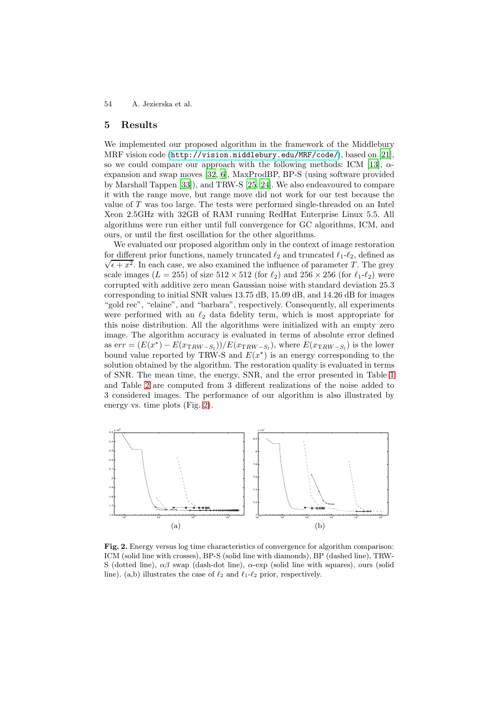### <span id="page-9-0"></span>**5 Results**

We implemented our proposed algorithm in the framework of the Middlebury MRF vision code (<http://vision.middlebury.edu/MRF/code/>), based on [\[21\]](#page-13-5), so we could compare our approach with the following methods: ICM [\[13\]](#page-12-12),  $\alpha$ expansion and swap moves [\[32](#page-13-16), [6](#page-12-5)], MaxProdBP, BP-S (using software provided by Marshall Tappen [\[33\]](#page-13-17)), and TRW-S [\[25,](#page-13-9) [24\]](#page-13-8). We also endeavoured to compare it with the range move, but range move did not work for our test because the value of T was too large. The tests were performed single-threaded on an Intel Xeon 2.5GHz with 32GB of RAM running RedHat Enterprise Linux 5.5. All algorithms were run either until full convergence for GC algorithms, ICM, and ours, or until the first oscillation for the other algorithms.

We evaluated our proposed algorithm only in the context of image restoration for different prior functions, namely truncated  $\ell_2$  and truncated  $\ell_1$ - $\ell_2$ , defined as  $\sqrt{\epsilon + x^2}$ . In each case, we also examined the influence of parameter T. The grey scale images ( $L = 255$ ) of size  $512 \times 512$  (for  $\ell_2$ ) and  $256 \times 256$  (for  $\ell_1$ - $\ell_2$ ) were corrupted with additive zero mean Gaussian noise with standard deviation 25.3 corresponding to initial SNR values 13.75 dB, 15.09 dB, and 14.26 dB for images "gold rec", "elaine", and "barbara", respectively. Consequently, all experiments were performed with an  $\ell_2$  data fidelity term, which is most appropriate for this noise distribution. All the algorithms were initialized with an empty zero image. The algorithm accuracy is evaluated in terms of absolute error defined as err =  $(E(x^*) - E(x_{TRW-S_i})/E(x_{TRW-S_i})$ , where  $E(x_{TRW-S_i})$  is the lower bound value reported by TRW-S and  $E(x^*)$  is an energy corresponding to the solution obtained by the algorithm. The restoration quality is evaluated in terms of SNR. The mean time, the energy, SNR, and the error presented in Table [1](#page-11-1) and Table [2](#page-11-2) are computed from 3 different realizations of the noise added to 3 considered images. The performance of our algorithm is also illustrated by energy vs. time plots (Fig. [2\)](#page-9-1).



<span id="page-9-1"></span>**Fig. 2.** Energy versus log time characteristics of convergence for algorithm comparison: ICM (solid line with crosses), BP-S (solid line with diamonds), BP (dashed line), TRW-S (dotted line),  $\alpha\beta$  swap (dash-dot line),  $\alpha$ -exp (solid line with squares), ours (solid line). (a,b) illustrates the case of  $\ell_2$  and  $\ell_1-\ell_2$  prior, respectively.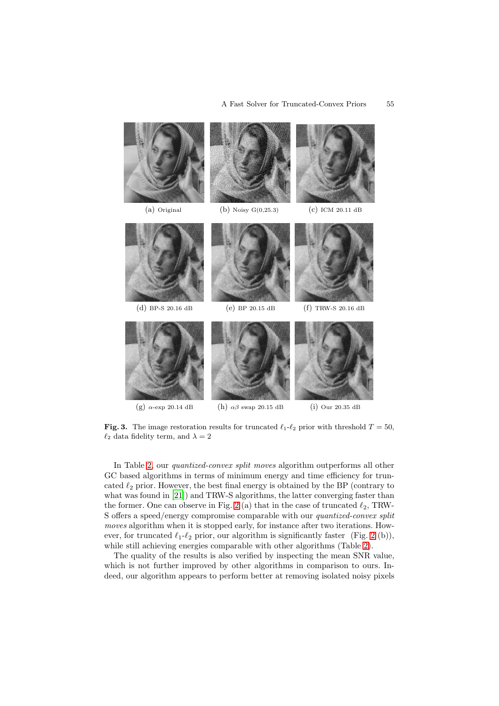

<span id="page-10-0"></span>**Fig. 3.** The image restoration results for truncated  $\ell_1 - \ell_2$  prior with threshold  $T = 50$ ,  $\ell_2$  data fidelity term, and  $\lambda = 2$ 

In Table [2,](#page-11-2) our *quantized-convex split moves* algorithm outperforms all other GC based algorithms in terms of minimum energy and time efficiency for truncated  $\ell_2$  prior. However, the best final energy is obtained by the BP (contrary to what was found in [\[21\]](#page-13-5)) and TRW-S algorithms, the latter converging faster than the former. One can observe in Fig. [2](#page-9-1) (a) that in the case of truncated  $\ell_2$ , TRW-S offers a speed/energy compromise comparable with our *quantized-convex split moves* algorithm when it is stopped early, for instance after two iterations. However, for truncated  $\ell_1-\ell_2$  prior, our algorithm is significantly faster (Fig. [2](#page-9-1) (b)), while still achieving energies comparable with other algorithms (Table [2\)](#page-11-2).

The quality of the results is also verified by inspecting the mean SNR value, which is not further improved by other algorithms in comparison to ours. Indeed, our algorithm appears to perform better at removing isolated noisy pixels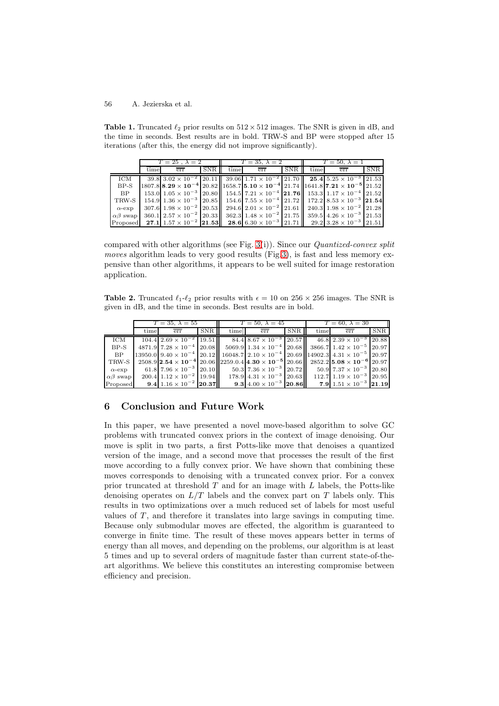<span id="page-11-1"></span>**Table 1.** Truncated  $\ell_2$  prior results on  $512 \times 512$  images. The SNR is given in dB, and the time in seconds. Best results are in bold. TRW-S and BP were stopped after 15 iterations (after this, the energy did not improve significantly).

|                    | $T=25$ , $\lambda=2$ |                                                                                                                                                            |     | $T=35, \lambda=2$ |     |        | $T = 50, \lambda = 1$ |     |            |
|--------------------|----------------------|------------------------------------------------------------------------------------------------------------------------------------------------------------|-----|-------------------|-----|--------|-----------------------|-----|------------|
|                    | time                 | err                                                                                                                                                        | SNR | time              | err | SNR II | time                  | err | <b>SNR</b> |
| ICM                |                      | $39.8\,3.02\times10^{-2}\,20.11\,$ $39.06\,1.71\times10^{-2}\,21.70\,$ $25.4\,5.25\times10^{-3}\,21.53$                                                    |     |                   |     |        |                       |     |            |
| $BP-S$             |                      | $1807.8$ $\mid$ 8.29 $\times$ 10 <sup>-4</sup> 20.82 $\mid$ 1658.7 5.10 $\times$ 10 <sup>-4</sup> 21.74 $\mid$ 1641.8 7.21 $\times$ 10 <sup>-5</sup> 21.52 |     |                   |     |        |                       |     |            |
| BP                 |                      | $153.0 1.05 \times 10^{-3} 20.80 $ $154.5 7.21 \times 10^{-4} 21.76 $ $153.3 1.17 \times 10^{-4} 21.52 $                                                   |     |                   |     |        |                       |     |            |
| TRW-S              |                      | $154.9$ $1.36 \times 10^{-3}$ $20.85$ $154.6$ $7.55 \times 10^{-4}$ $21.72$ $172.2$ $8.53 \times 10^{-3}$ $21.54$                                          |     |                   |     |        |                       |     |            |
| $\alpha$ -exp      |                      | $307.6$ $1.98 \times 10^{-2}$ $20.53$ $\parallel$ $294.6$ $2.01 \times 10^{-2}$ $21.61$ $\parallel$ $240.3$ $1.98 \times 10^{-2}$ $21.28$                  |     |                   |     |        |                       |     |            |
| $\alpha\beta$ swap |                      | $360.1$ $2.57 \times 10^{-2}$ $20.33$ $362.3$ $1.48 \times 10^{-2}$ $21.75$ $359.5$ $4.26 \times 10^{-3}$ $21.53$                                          |     |                   |     |        |                       |     |            |
|                    |                      | Proposed 27.1 1.57 $\times$ 10 <sup>-2</sup> 21.53 28.6 6.30 $\times$ 10 <sup>-3</sup> 21.71 29.2 3.28 $\times$ 10 <sup>-3</sup> 21.51                     |     |                   |     |        |                       |     |            |

compared with other algorithms (see Fig. [3\(](#page-10-0)i)). Since our *Quantized-convex split moves* algorithm leads to very good results (Fig[.3\)](#page-10-0), is fast and less memory expensive than other algorithms, it appears to be well suited for image restoration application.

<span id="page-11-2"></span>**Table 2.** Truncated  $\ell_1$ - $\ell_2$  prior results with  $\epsilon = 10$  on 256  $\times$  256 images. The SNR is given in dB, and the time in seconds. Best results are in bold.

|                    | $T = 35, \lambda = 55$ |                                                                                                                                                       |     | $T = 50, \lambda = 45$ |                                                           |            | $T=60, \lambda=30$ |                                             |            |
|--------------------|------------------------|-------------------------------------------------------------------------------------------------------------------------------------------------------|-----|------------------------|-----------------------------------------------------------|------------|--------------------|---------------------------------------------|------------|
|                    | time                   | err                                                                                                                                                   | SNR | time                   | err                                                       | <b>SNR</b> | time               | err                                         | <b>SNR</b> |
| ICM                |                        | $104.4$ $2.69 \times 10^{-2}$ 19.51                                                                                                                   |     |                        | $84.4 \, 8.67 \times 10^{-3} \, 20.57$                    |            |                    | $46.8$ $2.39 \times 10^{-3}$ 20.88          |            |
| $BP-S$             |                        | $4871.9$ 7.28 $\times$ 10 <sup>-4</sup>   20.08    5069.9   1.34 $\times$ 10 <sup>-4</sup>   20.68    3866.7   1.42 $\times$ 10 <sup>-5</sup>   20.97 |     |                        |                                                           |            |                    |                                             |            |
| BP                 |                        | $13950.0$ 9.40 $\times$ 10 <sup>-4</sup> 20.12 16048.7 2.10 $\times$ 10 <sup>-4</sup> 20.69 14902.3 4.31 $\times$ 10 <sup>-5</sup> 20.97              |     |                        |                                                           |            |                    |                                             |            |
| TRW-S              |                        | $2508.9$  2.54 \times 10 <sup>-4</sup>  20.06  2259.0.4 4.30 \times 10 <sup>-5</sup>  20.66  2852.2 5.08 \times 10 <sup>-6</sup>  20.97               |     |                        |                                                           |            |                    |                                             |            |
| $\alpha$ -exp      |                        | 61.8 $7.96 \times 10^{-3}$ 20.10 $\vert$ 50.3 $7.36 \times 10^{-3}$ 20.72                                                                             |     |                        |                                                           |            |                    | $50.9$ 7.37 $\times$ 10 <sup>-3</sup> 20.80 |            |
| $\alpha\beta$ swap |                        | $200.4$ 1.12 $\times$ 10 <sup>-2</sup> 19.94                                                                                                          |     |                        | $178.9 \,   \, 4.31 \times 10^{-3} \,   \, 20.63 \,   \,$ |            |                    | $112.7$ $1.19 \times 10^{-3}$ 20.95         |            |
| Proposed           |                        | 9.4 $1.16 \times 10^{-2}$ 20.37                                                                                                                       |     |                        | 9.3 $4.00 \times 10^{-3}$ 20.86                           |            |                    | 7.9 $1.51 \times 10^{-3}$ 21.19             |            |

## <span id="page-11-0"></span>**6 Conclusion and Future Work**

In this paper, we have presented a novel move-based algorithm to solve GC problems with truncated convex priors in the context of image denoising. Our move is split in two parts, a first Potts-like move that denoises a quantized version of the image, and a second move that processes the result of the first move according to a fully convex prior. We have shown that combining these moves corresponds to denoising with a truncated convex prior. For a convex prior truncated at threshold  $T$  and for an image with  $L$  labels, the Potts-like denoising operates on  $L/T$  labels and the convex part on T labels only. This results in two optimizations over a much reduced set of labels for most useful values of  $T$ , and therefore it translates into large savings in computing time. Because only submodular moves are effected, the algorithm is guaranteed to converge in finite time. The result of these moves appears better in terms of energy than all moves, and depending on the problems, our algorithm is at least 5 times and up to several orders of magnitude faster than current state-of-theart algorithms. We believe this constitutes an interesting compromise between efficiency and precision.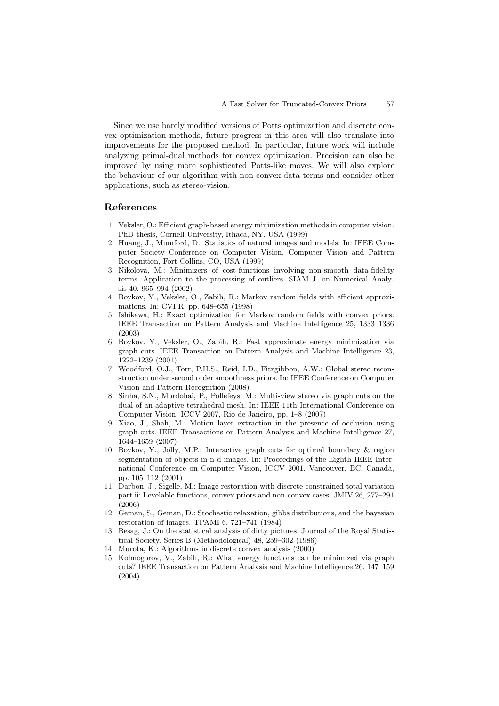Since we use barely modified versions of Potts optimization and discrete convex optimization methods, future progress in this area will also translate into improvements for the proposed method. In particular, future work will include analyzing primal-dual methods for convex optimization. Precision can also be improved by using more sophisticated Potts-like moves. We will also explore the behaviour of our algorithm with non-convex data terms and consider other applications, such as stereo-vision.

#### <span id="page-12-0"></span>**References**

- <span id="page-12-1"></span>1. Veksler, O.: Efficient graph-based energy minimization methods in computer vision. PhD thesis, Cornell University, Ithaca, NY, USA (1999)
- <span id="page-12-2"></span>2. Huang, J., Mumford, D.: Statistics of natural images and models. In: IEEE Computer Society Conference on Computer Vision, Computer Vision and Pattern Recognition, Fort Collins, CO, USA (1999)
- <span id="page-12-3"></span>3. Nikolova, M.: Minimizers of cost-functions involving non-smooth data-fidelity terms. Application to the processing of outliers. SIAM J. on Numerical Analysis 40, 965–994 (2002)
- <span id="page-12-4"></span>4. Boykov, Y., Veksler, O., Zabih, R.: Markov random fields with efficient approximations. In: CVPR, pp. 648–655 (1998)
- <span id="page-12-15"></span>5. Ishikawa, H.: Exact optimization for Markov random fields with convex priors. IEEE Transaction on Pattern Analysis and Machine Intelligence 25, 1333–1336 (2003)
- <span id="page-12-5"></span>6. Boykov, Y., Veksler, O., Zabih, R.: Fast approximate energy minimization via graph cuts. IEEE Transaction on Pattern Analysis and Machine Intelligence 23, 1222–1239 (2001)
- <span id="page-12-6"></span>7. Woodford, O.J., Torr, P.H.S., Reid, I.D., Fitzgibbon, A.W.: Global stereo reconstruction under second order smoothness priors. In: IEEE Conference on Computer Vision and Pattern Recognition (2008)
- <span id="page-12-7"></span>8. Sinha, S.N., Mordohai, P., Pollefeys, M.: Multi-view stereo via graph cuts on the dual of an adaptive tetrahedral mesh. In: IEEE 11th International Conference on Computer Vision, ICCV 2007, Rio de Janeiro, pp. 1–8 (2007)
- <span id="page-12-8"></span>9. Xiao, J., Shah, M.: Motion layer extraction in the presence of occlusion using graph cuts. IEEE Transactions on Pattern Analysis and Machine Intelligence 27, 1644–1659 (2007)
- <span id="page-12-9"></span>10. Boykov, Y., Jolly, M.P.: Interactive graph cuts for optimal boundary & region segmentation of objects in n-d images. In: Proceedings of the Eighth IEEE International Conference on Computer Vision, ICCV 2001, Vancouver, BC, Canada, pp. 105–112 (2001)
- <span id="page-12-10"></span>11. Darbon, J., Sigelle, M.: Image restoration with discrete constrained total variation part ii: Levelable functions, convex priors and non-convex cases. JMIV 26, 277–291 (2006)
- <span id="page-12-11"></span>12. Geman, S., Geman, D.: Stochastic relaxation, gibbs distributions, and the bayesian restoration of images. TPAMI 6, 721–741 (1984)
- <span id="page-12-12"></span>13. Besag, J.: On the statistical analysis of dirty pictures. Journal of the Royal Statistical Society. Series B (Methodological) 48, 259–302 (1986)
- <span id="page-12-13"></span>14. Murota, K.: Algorithms in discrete convex analysis (2000)
- <span id="page-12-14"></span>15. Kolmogorov, V., Zabih, R.: What energy functions can be minimized via graph cuts? IEEE Transaction on Pattern Analysis and Machine Intelligence 26, 147–159 (2004)